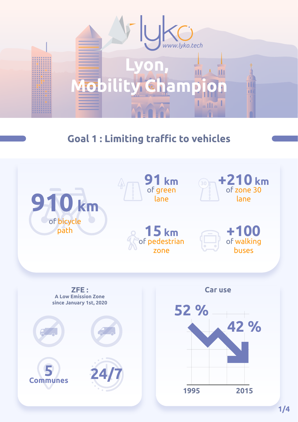

# **Goal 1: Limiting traffic to vehicles**

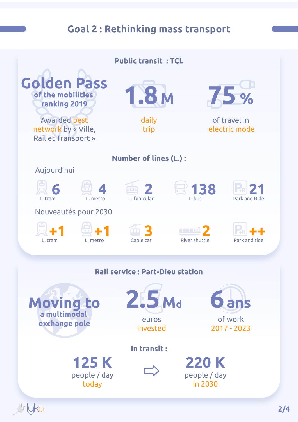# **Goal 2: Rethinking mass transport**

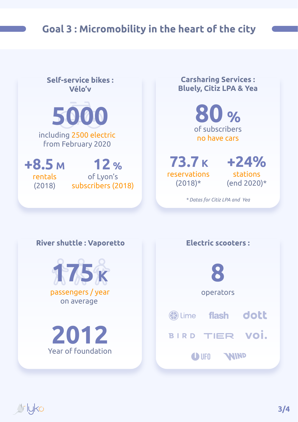

**Carsharing Services: Self-service bikes: Bluely, Citiz LPA & Yea** Vélo'v **80 % 5000** of subscribers including 2500 electric no have cars from February 2020 **+24% 73.7 K +8.5 M 12 %** reservations stations of Lyon's rentals (end 2020)\*  $(2018)*$ subscribers (2018) (2018) *\* Datas for Citiz LPA and Yea*

#### **River shuttle: Vaporetto**



Year of foundation **2012**